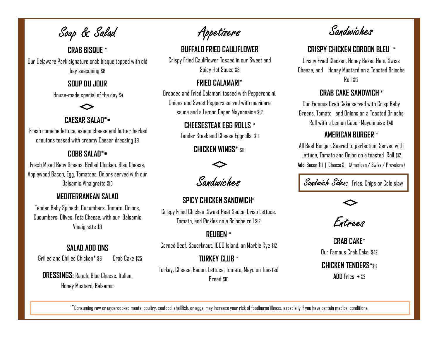Soup & Salad

## CRAB BISQUE \*

Our Delaware Park signature crab bisque topped with old bay seasoning \$8

#### SOUP DU JOUR

House-made special of the day \$4

# CAESAR SALAD\*•

Fresh romaine lettuce, asiago cheese and butter-herbed croutons tossed with creamy Caesar dressing \$9

### COBB SALAD\*•

Fresh Mixed Baby Greens, Grilled Chicken, Bleu Cheese, Applewood Bacon, Egg, Tomatoes, Onions served with our Balsamic Vinaigrette \$10

# MEDITERRANEAN SALAD

Tender Baby Spinach, Cucumbers, Tomato, Onions, Cucumbers, Olives, Feta Cheese, with our Balsamic Vinaigrette \$9

# SALAD ADD ONS

Grilled and Chilled Chicken\* \$6 Crab Cake \$25

DRESSINGS: Ranch, Blue Cheese, Italian, Honey Mustard, Balsamic

Appetizers

# BUFFALO FRIED CAULIFLOWER

Crispy Fried Cauliflower Tossed in our Sweet and Spicy Hot Sauce \$8

#### FRIED CALAMARI\*

Breaded and Fried Calamari tossed with Pepperoncini, Onions and Sweet Peppers served with marinara sauce and a Lemon Caper Mayonnaise \$12

### CHEESESTEAK EGG ROLLS \*

Tender Steak and Cheese Eggrolls \$9

CHICKEN WINGS\* \$16



Sandwiches

SPICY CHICKEN SANDWICH\* Crispy Fried Chicken ,Sweet Heat Sauce, Crisp Lettuce, Tomato, and Pickles on a Brioche roll \$12

REUBEN \* Corned Beef, Sauerkraut, 1000 Island, on Marble Rye \$12

# TURKEY CLUB \*

Turkey, Cheese, Bacon, Lettuce, Tomato, Mayo on Toasted Bread \$10

Sandwiches

# CRISPY CHICKEN CORDON BLEU \*

Crispy Fried Chicken, Honey Baked Ham, Swiss Cheese, and Honey Mustard on a Toasted Brioche Roll \$12

## CRAB CAKE SANDWICH \*

Our Famous Crab Cake served with Crisp Baby Greens, Tomato and Onions on a Toasted Brioche Roll with a Lemon Caper Mayonnaise \$40

## AMERICAN BURGER \*

All Beef Burger, Seared to perfection, Served with Lettuce, Tomato and Onion on a toasted Roll \$12 Add: Bacon \$ 1 | Cheese \$ 1 (American / Swiss / Provolone)

Sandwich Sides: Fries, Chips or Cole slaw

Entrees

CRAB CAKE\* Our Famous Crab Cake, \$42

CHICKEN TENDERS\*\$8

 $ADD$  Fries +  $$2$ 

\*Consuming raw or undercooked meats, poultry, seafood, shellfish, or eggs, may increase your risk of foodborne illness, especially if you have certain medical conditions.